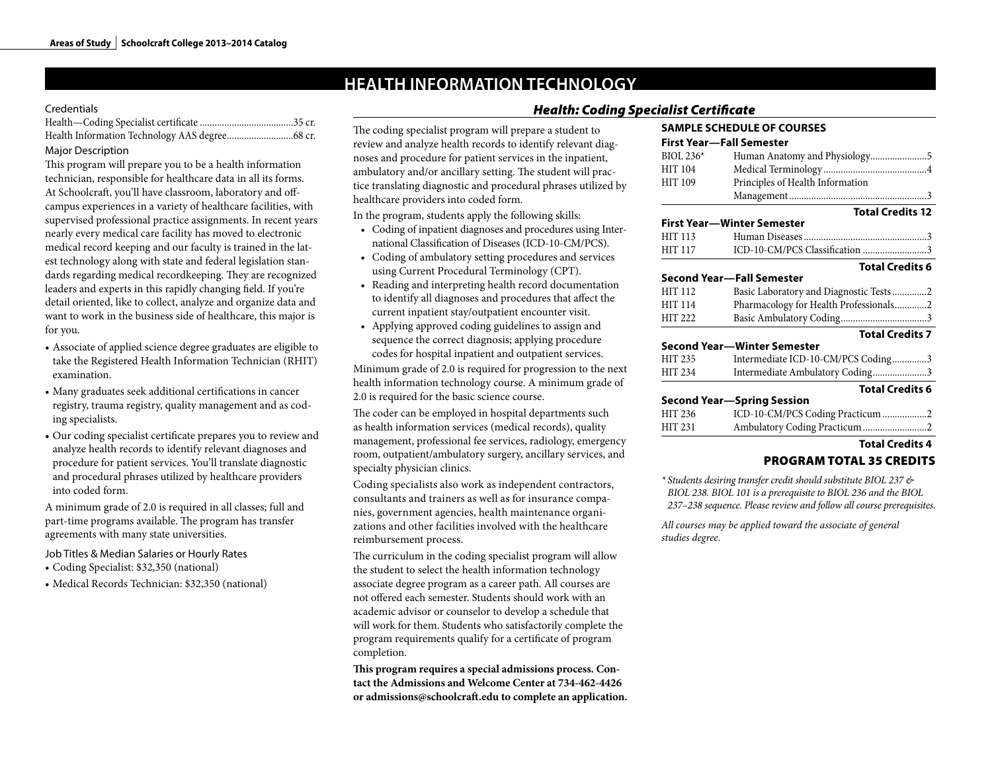# **HEALTH INFORMATION TECHNOLOGY**

#### **Credentials**

#### Major Description

This program will prepare you to be a health information technician, responsible for healthcare data in all its forms. At Schoolcraft, you'll have classroom, laboratory and offcampus experiences in a variety of healthcare facilities, with supervised professional practice assignments. In recent years nearly every medical care facility has moved to electronic medical record keeping and our faculty is trained in the latest technology along with state and federal legislation standards regarding medical recordkeeping. They are recognized leaders and experts in this rapidly changing field. If you're detail oriented, like to collect, analyze and organize data and want to work in the business side of healthcare, this major is for you.

- Associate of applied science degree graduates are eligible to take the Registered Health Information Technician (RHIT) examination.
- Many graduates seek additional certifications in cancer registry, trauma registry, quality management and as coding specialists.
- Our coding specialist certificate prepares you to review and analyze health records to identify relevant diagnoses and procedure for patient services. You'll translate diagnostic and procedural phrases utilized by healthcare providers into coded form.

A minimum grade of 2.0 is required in all classes; full and part-time programs available. The program has transfer agreements with many state universities.

Job Titles & Median Salaries or Hourly Rates

- Coding Specialist: \$32,350 (national)
- Medical Records Technician: \$32,350 (national)

## The coding specialist program will prepare a student to review and analyze health records to identify relevant diagnoses and procedure for patient services in the inpatient, ambulatory and/or ancillary setting. The student will practice translating diagnostic and procedural phrases utilized by healthcare providers into coded form.

In the program, students apply the following skills:

- Coding of inpatient diagnoses and procedures using International Classification of Diseases (ICD-10-CM/PCS).
- Coding of ambulatory setting procedures and services using Current Procedural Terminology (CPT).
- Reading and interpreting health record documentation to identify all diagnoses and procedures that affect the current inpatient stay/outpatient encounter visit.
- Applying approved coding guidelines to assign and sequence the correct diagnosis; applying procedure codes for hospital inpatient and outpatient services.

Minimum grade of 2.0 is required for progression to the next health information technology course. A minimum grade of 2.0 is required for the basic science course.

The coder can be employed in hospital departments such as health information services (medical records), quality management, professional fee services, radiology, emergency room, outpatient/ambulatory surgery, ancillary services, and specialty physician clinics.

Coding specialists also work as independent contractors, consultants and trainers as well as for insurance companies, government agencies, health maintenance organizations and other facilities involved with the healthcare reimbursement process.

The curriculum in the coding specialist program will allow the student to select the health information technology associate degree program as a career path. All courses are not offered each semester. Students should work with an academic advisor or counselor to develop a schedule that will work for them. Students who satisfactorily complete the program requirements qualify for a certificate of program completion.

**This program requires a special admissions process. Contact the Admissions and Welcome Center at 734-462-4426 or admissions@schoolcraft.edu to complete an application.**

# *Health: Coding Specialist Certificate*

## **SAMPLE SCHEDULE OF COURSES First Year—Fall Semester** BIOL 236\* Human Anatomy and Physiology.......................5 HIT 104 Medical Terminology ..........................................4 HIT 109 Principles of Health Information Management........................................................3 **Total Credits 12 First Year—Winter Semester** HIT 113 Human Diseases..................................................3 ICD-10-CM/PCS Classification ............................3 **Total Credits 6 Second Year—Fall Semester** HIT 112 Basic Laboratory and Diagnostic Tests..............2 HIT 114 Pharmacology for Health Professionals.............2 HIT 222 Basic Ambulatory Coding...................................3 **Total Credits 7 Second Year—Winter Semester** HIT 235 Intermediate ICD-10-CM/PCS Coding...............3<br>HIT 234 Intermediate Ambulatory Coding......................3 Intermediate Ambulatory Coding........................3 **Total Credits 6 Second Year—Spring Session** HIT 236 ICD-10-CM/PCS Coding Practicum ...................2 HIT 231 Ambulatory Coding Practicum.............................2 **Total Credits 4** PROGRAM TOTAL 35 CREDITS

*\* Students desiring transfer credit should substitute BIOL 237 & BIOL 238. BIOL 101 is a prerequisite to BIOL 236 and the BIOL 237–238 sequence. Please review and follow all course prerequisites.*

*All courses may be applied toward the associate of general studies degree.*